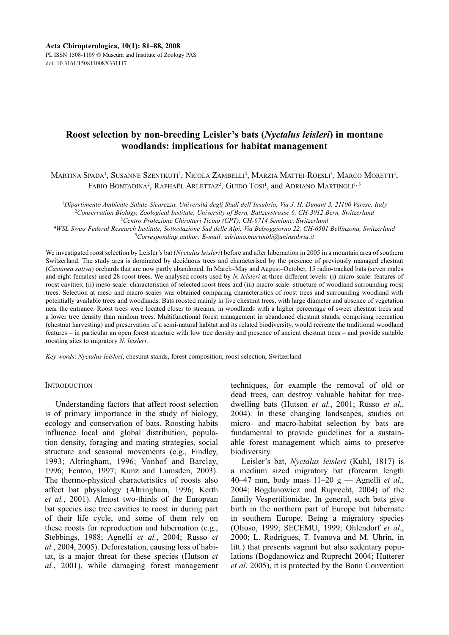# **Roost selection by non-breeding Leisler's bats (***Nyctalus leisleri***) in montane woodlands: implications for habitat management**

Martina Spada<sup>1</sup>, Susanne Szentkuti<sup>2</sup>, Nicola Zambelli<sup>3</sup>, Marzia Mattei-Roesli<sup>3</sup>, Marco Moretti<sup>4</sup>, FABIO BONTADINA<sup>2</sup>, RAPHAËL ARLETTAZ<sup>2</sup>, GUIDO TOSI<sup>1</sup>, and ADRIANO MARTINOLI<sup>1, 5</sup>

<sup>1</sup>*Dipartimento Ambiente-Salute-Sicurezza, Università degli Studi dell'Insubria, Via J. H. Dunant 3, 21100 Varese, Italy* 2 *Conservation Biology, Zoological Institute, University of Bern, Baltzerstrasse 6, CH-3012 Bern, Switzerland*

3 *Centro Protezione Chirotteri Ticino (CPT), CH-6714 Semione, Switzerland*

4 *WSL Swiss Federal Research Institute, Sottostazione Sud delle Alpi, Via Belsoggiorno 22, CH-6501 Bellinzona, Switzerland*

5 *Corresponding author: E-mail: adriano.martinoli@uninsubria.it*

We investigated roost selection by Leisler's bat (*Nyctalus leisleri*) before and after hibernation in 2005 in a mountain area of southern Switzerland. The study area is dominated by deciduous trees and characterised by the presence of previously managed chestnut (*Castanea sativa*) orchards that are now partly abandoned. In March–May and August–October, 15 radio-tracked bats (seven males and eight females) used 28 roost trees. We analysed roosts used by *N. leisleri* at three different levels: (i) micro-scale: features of roost cavities; (ii) meso-scale: characteristics of selected roost trees and (iii) macro-scale: structure of woodland surrounding roost trees. Selection at meso and macro-scales was obtained comparing characteristics of roost trees and surrounding woodland with potentially available trees and woodlands. Bats roosted mainly in live chestnut trees, with large diameter and absence of vegetation near the entrance. Roost trees were located closer to streams, in woodlands with a higher percentage of sweet chestnut trees and a lower tree density than random trees. Multifunctional forest management in abandoned chestnut stands, comprising recreation (chestnut harvesting) and preservation of a semi-natural habitat and its related biodiversity, would recreate the traditional woodland features – in particular an open forest structure with low tree density and presence of ancient chestnut trees – and provide suitable roosting sites to migratory *N. leisleri*.

*Key words*: *Nyctalus leisleri*, chestnut stands, forest composition, roost selection, Switzerland

# **INTRODUCTION**

Understanding factors that affect roost selection is of primary importance in the study of biology, ecology and conservation of bats. Roosting habits influence local and global distribution, population density, foraging and mating strategies, social structure and seasonal movements (e.g., Findley, 1993; Altringham, 1996; Vonhof and Barclay, 1996; Fenton, 1997; Kunz and Lumsden, 2003). The thermo-physical characteristics of roosts also affect bat physiology (Altringham, 1996; Kerth *et al.*, 2001). Almost two-thirds of the European bat species use tree cavities to roost in during part of their life cycle, and some of them rely on these roosts for reproduction and hibernation (e.g., Stebbings, 1988; Agnelli *et al.*, 2004; Russo *et al.*, 2004, 2005). Deforestation, causing loss of habitat, is a major threat for these species (Hutson *et al.*, 2001), while damaging forest management techniques, for example the removal of old or dead trees, can destroy valuable habitat for treedwelling bats (Hutson *et al.*, 2001; Russo *et al.*, 2004). In these changing landscapes, studies on micro- and macro-habitat selection by bats are fundamental to provide guidelines for a sustainable forest management which aims to preserve biodiversity.

Leisler's bat, *Nyctalus leisleri* (Kuhl, 1817) is a medium sized migratory bat (forearm length 40–47 mm, body mass 11–20 g — Agnelli *et al.*, 2004; Bogdanowicz and Ruprecht, 2004) of the family Vespertilionidae. In general, such bats give birth in the northern part of Europe but hibernate in southern Europe. Being a migratory species (Olioso, 1999; SECEMU, 1999; Ohlendorf *et al.*, 2000; L. Rodrigues, T. Ivanova and M. Uhrin, in litt.) that presents vagrant but also sedentary populations (Bogdanowicz and Ruprecht 2004; Hutterer *et al*. 2005), it is protected by the Bonn Convention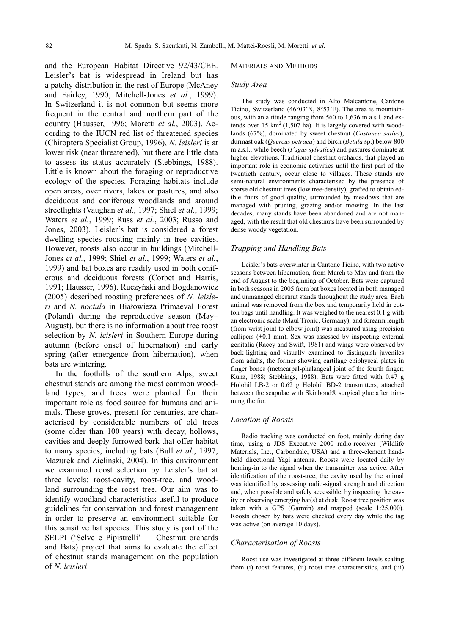and the European Habitat Directive 92/43/CEE. Leisler's bat is widespread in Ireland but has a patchy distribution in the rest of Europe (McAney and Fairley, 1990; Mitchell-Jones *et al.*, 1999). In Switzerland it is not common but seems more frequent in the central and northern part of the country (Hausser, 1996; Moretti *et al.*, 2003). Ac cording to the IUCN red list of threatened species (Chiroptera Specialist Group, 1996), *N. leisleri* is at lower risk (near threatened), but there are little data to assess its status accurately (Stebbings, 1988). Little is known about the foraging or reproductive ecology of the species. Foraging habitats include open areas, over rivers, lakes or pastures, and also deciduous and coniferous woodlands and around streetlights (Vaughan *et al.*, 1997; Shiel *et al.*, 1999; Waters *et al.*, 1999; Russ *et al.*, 2003; Russo and Jones, 2003). Leisler's bat is considered a forest dwelling species roosting mainly in tree cavities. However, roosts also occur in buildings (Mitchell-Jones *et al.*, 1999; Shiel *et al.*, 1999; Waters *et al.*, 1999) and bat boxes are readily used in both coniferous and deciduous forests (Corbet and Harris, 1991; Hausser, 1996). Ruczyński and Bogdanowicz (2005) described roosting preferences of *N. leisleri* and *N. noctula* in Białowieża Primaeval Forest (Poland) during the reproductive season (May– August), but there is no information about tree roost selection by *N. leisleri* in Southern Europe during autumn (before onset of hibernation) and early spring (after emergence from hibernation), when bats are wintering.

In the foothills of the southern Alps, sweet chestnut stands are among the most common woodland types, and trees were planted for their important role as food source for humans and animals. These groves, present for centuries, are characterised by considerable numbers of old trees (some older than 100 years) with decay, hollows, cavities and deeply furrowed bark that offer habitat to many species, including bats (Bull *et al.*, 1997; Mazurek and Zielinski, 2004). In this environment we examined roost selection by Leisler's bat at three levels: roost-cavity, roost-tree, and woodland surrounding the roost tree. Our aim was to identify woodland characteristics useful to produce guidelines for conservation and forest management in order to preserve an environment suitable for this sensitive bat species. This study is part of the SELPI ('Selve e Pipistrelli' — Chestnut orchards and Bats) project that aims to evaluate the effect of chestnut stands management on the population of *N. leisleri*.

### MATERIALS AND METHODS

#### *Study Area*

The study was conducted in Alto Malcantone, Cantone Ticino, Switzerland (46°03'N, 8°53'E). The area is mountainous, with an altitude ranging from 560 to 1,636 m a.s.l. and extends over  $15 \text{ km}^2 (1,507 \text{ ha})$ . It is largely covered with woodlands (67%), dominated by sweet chestnut (*Castanea sativa*), durmast oak (*Quercus petraea*) and birch (*Betula* sp.) below 800 m a.s.l., while beech (*Fagus sylvatica*) and pastures dominate at higher elevations. Traditional chestnut orchards, that played an important role in economic activities until the first part of the twentieth century, occur close to villages. These stands are semi-natural environments characterised by the presence of sparse old chestnut trees (low tree-density), grafted to obtain edible fruits of good quality, surrounded by meadows that are managed with pruning, grazing and/or mowing. In the last decades, many stands have been abandoned and are not managed, with the result that old chestnuts have been surrounded by dense woody vegetation.

#### *Trapping and Handling Bats*

Leisler's bats overwinter in Cantone Ticino, with two active seasons between hibernation, from March to May and from the end of August to the beginning of October. Bats were captured in both seasons in 2005 from bat boxes located in both managed and unmanaged chestnut stands throughout the study area. Each animal was removed from the box and temporarily held in cotton bags until handling. It was weighed to the nearest 0.1 g with an electronic scale (Maul Tronic, Germany), and forearm length (from wrist joint to elbow joint) was measured using precision callipers  $(\pm 0.1 \text{ mm})$ . Sex was assessed by inspecting external genitalia (Racey and Swift, 1981) and wings were observed by back-lighting and visually examined to distinguish juveniles from adults, the former showing cartilage epiphyseal plates in finger bones (metacarpal-phalangeal joint of the fourth finger; Kunz, 1988; Stebbings, 1988). Bats were fitted with 0.47 g Holohil LB-2 or 0.62 g Holohil BD-2 transmitters, attached between the scapulae with Skinbond® surgical glue after trimming the fur.

#### *Location of Roosts*

Radio tracking was conducted on foot, mainly during day time, using a JDS Executive 2000 radio-receiver (Wildlife Materials, Inc., Carbondale, USA) and a three-element handheld directional Yagi antenna. Roosts were located daily by homing-in to the signal when the transmitter was active. After identification of the roost-tree, the cavity used by the animal was identified by assessing radio-signal strength and direction and, when possible and safely accessible, by inspecting the cavity or observing emerging bat(s) at dusk. Roost tree position was taken with a GPS (Garmin) and mapped (scale 1:25.000). Roosts chosen by bats were checked every day while the tag was active (on average 10 days).

# *Characterisation of Roosts*

Roost use was investigated at three different levels scaling from (i) roost features, (ii) roost tree characteristics, and (iii)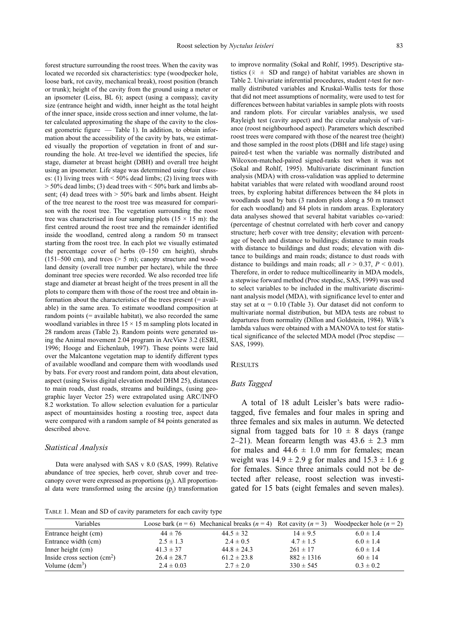forest structure surrounding the roost trees. When the cavity was located we recorded six characteristics: type (woodpecker hole, loose bark, rot cavity, mechanical break), roost position (branch or trunk); height of the cavity from the ground using a meter or an ipsometer (Leiss, BL 6); aspect (using a compass); cavity size (entrance height and width, inner height as the total height of the inner space, inside cross section and inner volume, the latter calculated approximating the shape of the cavity to the closest geometric figure — Table 1). In addition, to obtain information about the accessibility of the cavity by bats, we estimated visually the proportion of vegetation in front of and surrounding the hole. At tree-level we identified the species, life stage, diameter at breast height (DBH) and overall tree height using an ipsometer. Life stage was determined using four classes: (1) living trees with  $\leq 50\%$  dead limbs; (2) living trees with  $> 50\%$  dead limbs; (3) dead trees with  $< 50\%$  bark and limbs absent; (4) dead trees with  $> 50\%$  bark and limbs absent. Height of the tree nearest to the roost tree was measured for comparison with the roost tree. The vegetation surrounding the roost tree was characterised in four sampling plots  $(15 \times 15 \text{ m})$ : the first centred around the roost tree and the remainder identified inside the woodland, centred along a random 50 m transect starting from the roost tree. In each plot we visually estimated the percentage cover of herbs (0–150 cm height), shrubs  $(151–500 \text{ cm})$ , and trees ( $> 5 \text{ m}$ ); canopy structure and woodland density (overall tree number per hectare), while the three dominant tree species were recorded. We also recorded tree life stage and diameter at breast height of the trees present in all the plots to compare them with those of the roost tree and obtain information about the characteristics of the trees present (= available) in the same area. To estimate woodland composition at random points (= available habitat), we also recorded the same woodland variables in three  $15 \times 15$  m sampling plots located in 28 random areas (Table 2). Random points were generated using the Animal movement 2.04 program in ArcView 3.2 (ESRI, 1996; Hooge and Eichenlaub, 1997). These points were laid over the Malcantone vegetation map to identify different types of available woodland and compare them with woodlands used by bats. For every roost and random point, data about elevation, aspect (using Swiss digital elevation model DHM 25), distances to main roads, dust roads, streams and buildings, (using geographic layer Vector 25) were extrapolated using ARC/INFO 8.2 workstation. To allow selection evaluation for a particular aspect of mountainsides hosting a roosting tree, aspect data were compared with a random sample of 84 points generated as described above.

#### *Statistical Analysis*

Data were analysed with SAS v 8.0 (SAS, 1999). Relative abundance of tree species, herb cover, shrub cover and treecanopy cover were expressed as proportions  $(p_i)$ . All proportional data were transformed using the arcsine  $(p_i)$  transformation

TABLE 1. Mean and SD of cavity parameters for each cavity type

to improve normality (Sokal and Rohlf, 1995). Descriptive statistics ( $\overline{x} \pm SD$  and range) of habitat variables are shown in Table 2. Univariate inferential procedures, student *t*-test for normally distributed variables and Kruskal-Wallis tests for those that did not meet assumptions of normality, were used to test for differences between habitat variables in sample plots with roosts and random plots. For circular variables analysis, we used Rayleigh test (cavity aspect) and the circular analysis of variance (roost neighbourhood aspect). Parameters which described roost trees were compared with those of the nearest tree (height) and those sampled in the roost plots (DBH and life stage) using paired-t test when the variable was normally distributed and Wilcoxon-matched-paired signed-ranks test when it was not (Sokal and Rohlf, 1995). Multivariate discriminant function analysis (MDA) with cross-validation was applied to determine habitat variables that were related with woodland around roost trees, by exploring habitat differences between the 84 plots in woodlands used by bats (3 random plots along a 50 m transect for each woodland) and 84 plots in random areas. Exploratory data analyses showed that several habitat variables co-varied: (percentage of chestnut correlated with herb cover and canopy structure; herb cover with tree density; elevation with percentage of beech and distance to buildings; distance to main roads with distance to buildings and dust roads; elevation with distance to buildings and main roads; distance to dust roads with distance to buildings and main roads; all  $r > 0.37$ ,  $P < 0.01$ ). Therefore, in order to reduce multicollinearity in MDA models, a stepwise forward method (Proc stepdisc, SAS, 1999) was used to select variables to be included in the multivariate discriminant analysis model (MDA), with significance level to enter and stay set at  $\alpha = 0.10$  (Table 3). Our dataset did not conform to multivariate normal distribution, but MDA tests are robust to departures from normality (Dillon and Goldstein, 1984). Wilk's lambda values were obtained with a MANOVA to test for statistical significance of the selected MDA model (Proc stepdisc — SAS, 1999).

#### **RESULTS**

# *Bats Tagged*

A total of 18 adult Leisler's bats were radiotagged, five females and four males in spring and three females and six males in autumn. We detected signal from tagged bats for  $10 \pm 8$  days (range 2–21). Mean forearm length was  $43.6 \pm 2.3$  mm for males and  $44.6 \pm 1.0$  mm for females; mean weight was  $14.9 \pm 2.9$  g for males and  $15.3 \pm 1.6$  g for females. Since three animals could not be detected after release, roost selection was investigated for 15 bats (eight females and seven males).

| Variables                    |                 | Loose bark ( $n = 6$ ) Mechanical breaks ( $n = 4$ ) Rot cavity ( $n = 3$ ) |                | Woodpecker hole $(n = 2)$ |
|------------------------------|-----------------|-----------------------------------------------------------------------------|----------------|---------------------------|
| Entrance height (cm)         | $44 \pm 76$     | $44.5 \pm 32$                                                               | $14 \pm 9.5$   | $6.0 \pm 1.4$             |
| Entrance width (cm)          | $2.5 \pm 1.3$   | $2.4 \pm 0.5$                                                               | $4.7 \pm 1.5$  | $6.0 \pm 1.4$             |
| Inner height (cm)            | $41.3 \pm 37$   | $44.8 \pm 24.3$                                                             | $261 \pm 17$   | $6.0 \pm 1.4$             |
| Inside cross section $(cm2)$ | $26.4 \pm 28.7$ | $61.2 \pm 23.8$                                                             | $882 \pm 1316$ | $60 \pm 14$               |
| Volume $(dcm3)$              | $2.4 \pm 0.03$  | $2.7 \pm 2.0$                                                               | $330 \pm 545$  | $0.3 \pm 0.2$             |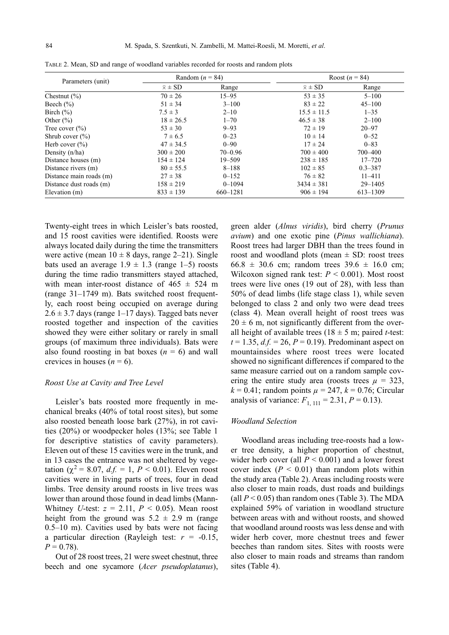| Parameters (unit)       | Random ( $n = 84$ ) |             | Roost $(n = 84)$ |              |
|-------------------------|---------------------|-------------|------------------|--------------|
|                         | $\bar{x} \pm SD$    | Range       | $\bar{x} \pm SD$ | Range        |
| Chestnut $(\% )$        | $70 \pm 26$         | $15 - 95$   | $53 \pm 35$      | $5 - 100$    |
| Beech $(\% )$           | $51 \pm 34$         | $3 - 100$   | $83 \pm 22$      | $45 - 100$   |
| Birch $(\% )$           | $7.5 \pm 3$         | $2 - 10$    | $15.5 \pm 11.5$  | $1 - 35$     |
| Other $(\% )$           | $18 \pm 26.5$       | $1 - 70$    | $46.5 \pm 38$    | $2 - 100$    |
| Tree cover $(\% )$      | $53 \pm 30$         | $9 - 93$    | $72 \pm 19$      | $20 - 97$    |
| Shrub cover $(\% )$     | $7 \pm 6.5$         | $0 - 23$    | $10 \pm 14$      | $0 - 52$     |
| Herb cover $(\% )$      | $47 \pm 34.5$       | $0 - 90$    | $17 \pm 24$      | $0 - 83$     |
| Density $(n/ha)$        | $300 \pm 200$       | $70 - 0.96$ | $700 \pm 400$    | 700-400      |
| Distance houses (m)     | $154 \pm 124$       | $19 - 509$  | $238 \pm 185$    | $17 - 720$   |
| Distance rivers (m)     | $80 \pm 55.5$       | $8 - 188$   | $102 \pm 85$     | $0.3 - 387$  |
| Distance main roads (m) | $27 \pm 38$         | $0 - 152$   | $76 \pm 82$      | $11 - 411$   |
| Distance dust roads (m) | $158 \pm 219$       | $0 - 1094$  | $3434 \pm 381$   | $29 - 1405$  |
| Elevation (m)           | $833 \pm 139$       | 660-1281    | $906 \pm 194$    | $613 - 1309$ |

TABLE 2. Mean, SD and range of woodland variables recorded for roosts and random plots

Twenty-eight trees in which Leisler's bats roosted, and 15 roost cavities were identified. Roosts were always located daily during the time the transmitters were active (mean  $10 \pm 8$  days, range 2–21). Single bats used an average  $1.9 \pm 1.3$  (range 1–5) roosts during the time radio transmitters stayed attached, with mean inter-roost distance of  $465 \pm 524$  m  $(ran \varrho \leq 31 - 1749)$  m). Bats switched roost frequently, each roost being occupied on average during  $2.6 \pm 3.7$  days (range 1–17 days). Tagged bats never roosted together and inspection of the cavities showed they were either solitary or rarely in small groups (of maximum three individuals). Bats were also found roosting in bat boxes  $(n = 6)$  and wall crevices in houses  $(n = 6)$ .

# *Roost Use at Cavity and Tree Level*

Leisler's bats roosted more frequently in mechanical breaks (40% of total roost sites), but some also roosted beneath loose bark (27%), in rot cavities (20%) or woodpecker holes (13%; see Table 1 for descriptive statistics of cavity parameters). Eleven out of these 15 cavities were in the trunk, and in 13 cases the entrance was not sheltered by vegetation ( $\chi^2 = 8.07$ ,  $d.f. = 1$ ,  $P < 0.01$ ). Eleven roost cavities were in living parts of trees, four in dead limbs. Tree density around roosts in live trees was lower than around those found in dead limbs (Mann-Whitney *U*-test:  $z = 2.11$ ,  $P < 0.05$ ). Mean roost height from the ground was  $5.2 \pm 2.9$  m (range 0.5–10 m). Cavities used by bats were not facing a particular direction (Rayleigh test:  $r = -0.15$ ,  $P = 0.78$ .

Out of 28 roost trees, 21 were sweet chestnut, three beech and one sycamore (*Acer pseudoplatanus*),

green alder (*Alnus viridis*), bird cherry (*Prunus avium*) and one exotic pine (*Pinus wallichiana*). Roost trees had larger DBH than the trees found in roost and woodland plots (mean  $\pm$  SD: roost trees  $66.8 \pm 30.6$  cm; random trees  $39.6 \pm 16.0$  cm; Wilcoxon signed rank test:  $P < 0.001$ ). Most roost trees were live ones (19 out of 28), with less than 50% of dead limbs (life stage class 1), while seven belonged to class 2 and only two were dead trees (class 4). Mean overall height of roost trees was  $20 \pm 6$  m, not significantly different from the overall height of available trees ( $18 \pm 5$  m; paired *t*-test:  $t = 1.35$ ,  $d.f. = 26$ ,  $P = 0.19$ ). Predominant aspect on mountainsides where roost trees were located showed no significant differences if compared to the same measure carried out on a random sample covering the entire study area (roosts trees  $\mu = 323$ ,  $k = 0.41$ ; random points  $\mu = 247$ ,  $k = 0.76$ ; Circular analysis of variance:  $F_{1, 111} = 2.31, P = 0.13$ .

# *Woodland Selection*

Woodland areas including tree-roosts had a lower tree density, a higher proportion of chestnut, wider herb cover (all *P* < 0.001) and a lower forest cover index  $(P < 0.01)$  than random plots within the study area (Table 2). Areas including roosts were also closer to main roads, dust roads and buildings (all  $P < 0.05$ ) than random ones (Table 3). The MDA explained 59% of variation in woodland structure between areas with and without roosts, and showed that woodland around roosts was less dense and with wider herb cover, more chestnut trees and fewer beeches than random sites. Sites with roosts were also closer to main roads and streams than random sites (Table 4).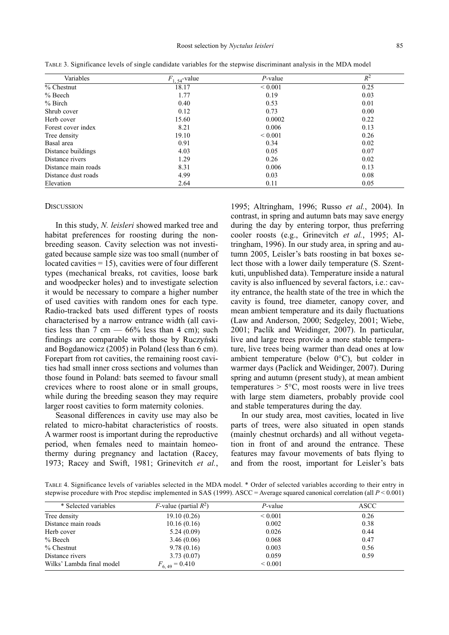| Variables           | $F_{1, 54}$ -value | $P$ -value   | $R^2$ |
|---------------------|--------------------|--------------|-------|
| $%$ Chestnut        | 18.17              | ${}_{0.001}$ | 0.25  |
| $%$ Beech           | 1.77               | 0.19         | 0.03  |
| $%$ Birch           | 0.40               | 0.53         | 0.01  |
| Shrub cover         | 0.12               | 0.73         | 0.00  |
| Herb cover          | 15.60              | 0.0002       | 0.22  |
| Forest cover index  | 8.21               | 0.006        | 0.13  |
| Tree density        | 19.10              | ${}_{0.001}$ | 0.26  |
| Basal area          | 0.91               | 0.34         | 0.02  |
| Distance buildings  | 4.03               | 0.05         | 0.07  |
| Distance rivers     | 1.29               | 0.26         | 0.02  |
| Distance main roads | 8.31               | 0.006        | 0.13  |
| Distance dust roads | 4.99               | 0.03         | 0.08  |
| Elevation           | 2.64               | 0.11         | 0.05  |

TABLE 3. Significance levels of single candidate variables for the stepwise discriminant analysis in the MDA model

#### **DISCUSSION**

In this study, *N. leisleri* showed marked tree and habitat preferences for roosting during the nonbreeding season. Cavity selection was not investigated because sample size was too small (number of located cavities  $= 15$ ), cavities were of four different types (mechanical breaks, rot cavities, loose bark and woodpecker holes) and to investigate selection it would be necessary to compare a higher number of used cavities with random ones for each type. Radio-tracked bats used different types of roosts characterised by a narrow entrance width (all cavities less than 7 cm  $-$  66% less than 4 cm); such findings are comparable with those by Ruczyński and Bogdanowicz (2005) in Poland (less than 6 cm). Forepart from rot cavities, the remaining roost cavities had small inner cross sections and volumes than those found in Poland: bats seemed to favour small crevices where to roost alone or in small groups, while during the breeding season they may require larger roost cavities to form maternity colonies.

Seasonal differences in cavity use may also be related to micro-habitat characteristics of roosts. A warmer roost is important during the reproductive period, when females need to maintain homeothermy during pregnancy and lactation (Racey, 1973; Racey and Swift, 1981; Grinevitch *et al.*,

1995; Altringham, 1996; Russo *et al.*, 2004). In contrast, in spring and autumn bats may save energy during the day by entering torpor, thus preferring cooler roosts (e.g., Grinevitch et al., 1995; Altringham, 1996). In our study area, in spring and autumn 2005, Leisler's bats roosting in bat boxes select those with a lower daily temperature (S. Szentkuti, unpublished data). Temperature inside a natural cavity is also influenced by several factors, i.e.: cavity entrance, the health state of the tree in which the cavity is found, tree diameter, canopy cover, and mean ambient temperature and its daily fluctuations (Law and Anderson, 2000; Sedgeley, 2001; Wiebe, 2001; Paclík and Weidinger, 2007). In particular, live and large trees provide a more stable temperature, live trees being warmer than dead ones at low ambient temperature (below 0°C), but colder in warmer days (Paclíck and Weidinger, 2007). During spring and autumn (present study), at mean ambient temperatures  $> 5^{\circ}$ C, most roosts were in live trees with large stem diameters, probably provide cool and stable temperatures during the day.

In our study area, most cavities, located in live parts of trees, were also situated in open stands (mainly chestnut orchards) and all without vegetation in front of and around the entrance. These features may favour movements of bats flying to and from the roost, important for Leisler's bats

TABLE 4. Significance levels of variables selected in the MDA model. \* Order of selected variables according to their entry in stepwise procedure with Proc stepdisc implemented in SAS (1999). ASCC = Average squared canonical correlation (all *P* < 0.001)

| * Selected variables      | <i>F</i> -value (partial $R^2$ ) | $P$ -value   | ASCC |
|---------------------------|----------------------------------|--------------|------|
| Tree density              | 19.10(0.26)                      | ${}< 0.001$  | 0.26 |
| Distance main roads       | 10.16(0.16)                      | 0.002        | 0.38 |
| Herb cover                | 5.24(0.09)                       | 0.026        | 0.44 |
| $%$ Beech                 | 3.46(0.06)                       | 0.068        | 0.47 |
| $%$ Chestnut              | 9.78(0.16)                       | 0.003        | 0.56 |
| Distance rivers           | 3.73(0.07)                       | 0.059        | 0.59 |
| Wilks' Lambda final model | $F_{6,49} = 0.410$               | ${}_{0.001}$ |      |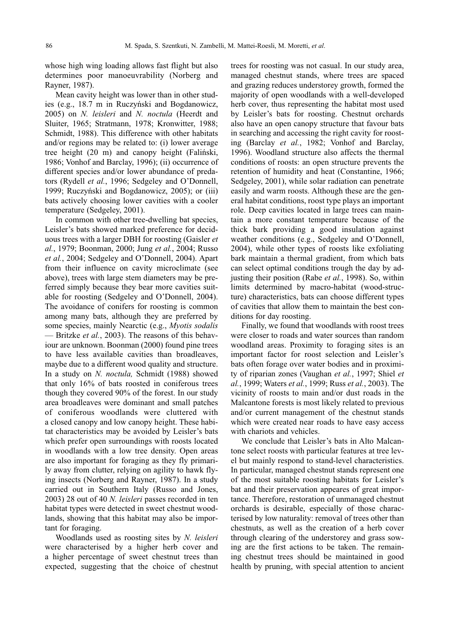whose high wing loading allows fast flight but also determines poor manoeuvrability (Norberg and Rayner, 1987).

Mean cavity height was lower than in other studies (e.g., 18.7 m in Ruczyński and Bogdanowicz, 2005) on *N. leisleri* and *N. noctula* (Heerdt and Sluiter, 1965; Stratmann, 1978; Kronwitter, 1988; Schmidt, 1988). This difference with other habitats and/or regions may be related to: (i) lower average tree height (20 m) and canopy height (Faliński, 1986; Vonhof and Barclay, 1996); (ii) occurrence of different species and/or lower abundance of predators (Rydell *et al.*, 1996; Sedgeley and O'Donnell, 1999; Ruczyński and Bogdanowicz, 2005); or (iii) bats actively choosing lower cavities with a cooler temperature (Sedgeley, 2001).

In common with other tree-dwelling bat species, Leisler's bats showed marked preference for deciduous trees with a larger DBH for roosting (Gaisler *et al.*, 1979; Boonman, 2000; Jung *et al.*, 2004; Russo et al., 2004; Sedgeley and O'Donnell, 2004). Apart from their influence on cavity microclimate (see above), trees with large stem diameters may be preferred simply because they bear more cavities suitable for roosting (Sedgeley and O'Donnell, 2004). The avoidance of conifers for roosting is common among many bats, although they are preferred by some species, mainly Nearctic (e.g., *Myotis sodalis* — Britzke *et al.*, 2003). The reasons of this behaviour are unknown. Boonman (2000) found pine trees to have less available cavities than broadleaves, maybe due to a different wood quality and structure. In a study on *N. noctula,* Schmidt (1988) showed that only 16% of bats roosted in coniferous trees though they covered 90% of the forest. In our study area broadleaves were dominant and small patches of coniferous woodlands were cluttered with a closed canopy and low canopy height. These habitat characteristics may be avoided by Leisler's bats which prefer open surroundings with roosts located in woodlands with a low tree density. Open areas are also important for foraging as they fly primarily away from clutter, relying on agility to hawk flying insects (Norberg and Rayner, 1987). In a study carried out in Southern Italy (Russo and Jones, 2003) 28 out of 40 *N. leisleri* passes recorded in ten habitat types were detected in sweet chestnut woodlands, showing that this habitat may also be important for foraging.

Woodlands used as roosting sites by *N. leisleri* were characterised by a higher herb cover and a higher percentage of sweet chestnut trees than expected, suggesting that the choice of chestnut trees for roosting was not casual. In our study area, managed chestnut stands, where trees are spaced and grazing reduces understorey growth, formed the majority of open woodlands with a well-developed herb cover, thus representing the habitat most used by Leisler's bats for roosting. Chestnut orchards also have an open canopy structure that favour bats in searching and accessing the right cavity for roosting (Barclay *et al.*, 1982; Vonhof and Barclay, 1996). Woodland structure also affects the thermal conditions of roosts: an open structure prevents the retention of humidity and heat (Constantine, 1966; Sedgeley, 2001), while solar radiation can penetrate easily and warm roosts. Although these are the general habitat conditions, roost type plays an important role. Deep cavities located in large trees can maintain a more constant temperature because of the thick bark providing a good insulation against weather conditions (e.g., Sedgeley and O'Donnell, 2004), while other types of roosts like exfoliating bark maintain a thermal gradient, from which bats can select optimal conditions trough the day by adjusting their position (Rabe *et al.*, 1998). So, within limits determined by macro-habitat (wood-structure) characteristics, bats can choose different types of cavities that allow them to maintain the best conditions for day roosting.

Finally, we found that woodlands with roost trees were closer to roads and water sources than random woodland areas. Proximity to foraging sites is an important factor for roost selection and Leisler's bats often forage over water bodies and in proximity of riparian zones (Vaughan *et al.*, 1997; Shiel *et al.*, 1999; Waters *et al.*, 1999; Russ *et al.*, 2003). The vicinity of roosts to main and/or dust roads in the Malcantone forests is most likely related to previous and/or current management of the chestnut stands which were created near roads to have easy access with chariots and vehicles.

We conclude that Leisler's bats in Alto Malcantone select roosts with particular features at tree level but mainly respond to stand-level characteristics. In particular, managed chestnut stands represent one of the most suitable roosting habitats for Leisler's bat and their preservation appeares of great importance. Therefore, restoration of unmanaged chestnut orchards is desirable, especially of those characterised by low naturality: removal of trees other than chestnuts, as well as the creation of a herb cover through clearing of the understorey and grass sowing are the first actions to be taken. The remaining chestnut trees should be maintained in good health by pruning, with special attention to ancient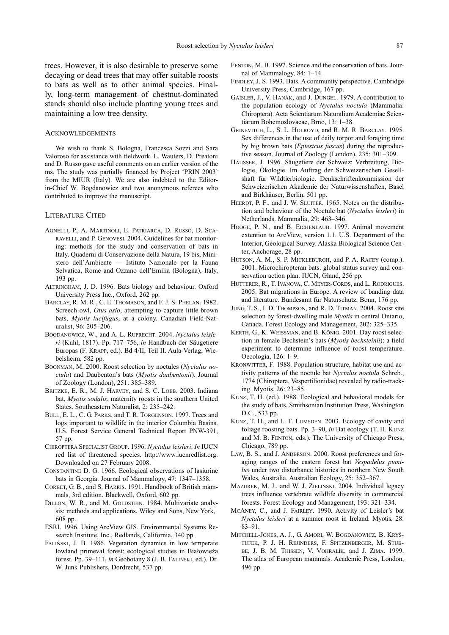trees. However, it is also desirable to preserve some decaying or dead trees that may offer suitable roosts to bats as well as to other animal species. Finally, long-term management of chestnut-dominated stands should also include planting young trees and maintaining a low tree density.

#### ACKNOWLEDGEMENTS

We wish to thank S. Bologna, Francesca Sozzi and Sara Valoroso for assistance with fieldwork. L. Wauters, D. Preatoni and D. Russo gave useful comments on an earlier version of the ms. The study was partially financed by Project 'PRIN 2003' from the MIUR (Italy). We are also indebted to the Editorin-Chief W. Bogdanowicz and two anonymous referees who contributed to improve the manuscript.

#### LITERATURE CITED

- AGNELLI, P., A. MARTINOLI, E. PATRIARCA, D. RUSSO, D. SCA-RAVELLI, and P. GENOVESI. 2004. Guidelines for bat monitoring: methods for the study and conservation of bats in Italy. Quaderni di Conservazione della Natura, 19 bis, Mini stero dell'Ambiente — Istituto Nazionale per la Fauna Selvatica, Rome and Ozzano dell'Emilia (Bologna), Italy, 193 pp.
- ALTRINGHAM, J. D. 1996. Bats biology and behaviour. Oxford University Press Inc., Oxford, 262 pp.
- BARCLAY, R. M. R., C. E. THOMASON, and F. J. S. PHELAN. 1982. Screech owl, *Otus asio*, attempting to capture little brown bats, *Myotis lucifugus*, at a colony. Canadian Field-Naturalist, 96: 205–206.
- BOGDANOWICZ, W., and A. L. RUPRECHT. 2004. *Nyctalus leisleri* (Kuhl, 1817). Pp. 717–756, *in* Handbuch der Säugetiere Europas (F. KRAPP, ed.). Bd 4/II, Teil II. Aula-Verlag, Wie belsheim, 582 pp.
- BOONMAN, M. 2000. Roost selection by noctules (*Nyctalus noctula*) and Daubenton's bats (*Myotis daubentonii*). Journal of Zoology (London), 251: 385–389.
- BRITZKE, E. R., M. J. HARVEY, and S. C. LOEB. 2003. Indiana bat, *Myotis sodalis*, maternity roosts in the southern United States. Southeastern Naturalist, 2: 235–242.
- BULL, E. L., C. G. PARKS, and T. R. TORGENSON. 1997. Trees and logs important to wildlife in the interior Columbia Basins. U.S. Forest Service General Technical Report PNW-391, 57 pp.
- CHIROPTERA SPECIALIST GROUP. 1996. *Nyctalus leisleri*. *In* IUCN red list of threatened species. http://www.iucnredlist.org. Downloaded on 27 February 2008.
- CONSTANTINE D. G. 1966. Ecological observations of lasiurine bats in Georgia. Journal of Mammalogy, 47: 1347–1358.
- CORBET, G. B., and S. HARRIS. 1991. Handbook of British mammals, 3rd edition. Blackwell, Oxford, 602 pp.
- DILLON, W. R., and M. GOLDSTEIN. 1984. Multivariate analysis: methods and applications. Wiley and Sons, New York, 608 pp.
- ESRI. 1996. Using ArcView GIS. Environmental Systems Re search Institute, Inc., Redlands, California, 340 pp.
- FALIŃSKI, J. B. 1986. Vegetation dynamics in low temperate low land primeval forest: ecological studies in Białowieża forest. Pp. 39–111, *in* Geobotany 8 (J. B. FALIŃSKI, ed.). Dr. W. Junk Publishers, Dordrecht, 537 pp.
- FENTON, M. B. 1997. Science and the conservation of bats. Journal of Mammalogy, 84: 1–14.
- FINDLEY, J. S. 1993. Bats. A community perspective. Cambridge University Press, Cambridge, 167 pp.
- GAISLER, J., V. HANÁK, and J. DUNGEL. 1979. A contribution to the population ecology of *Nyctalus noctula* (Mammalia: Chiroptera). Acta Scientiarum Naturalium Academiae Scientiarum Bohemoslovacae, Brno, 13: 1–38.
- GRINEVITCH, L., S. L. HOLROYD, and R. M. R. BARCLAY. 1995. Sex differences in the use of daily torpor and foraging time by big brown bats (*Eptesicus fuscus*) during the reproductive season. Journal of Zoology (London), 235: 301–309.
- HAUSSER, J. 1996. Säugetiere der Schweiz: Verbreitung, Biologie, Ökologie. Im Auftrag der Schweizerischen Gesellshaft für Wildtierbiologie. Denkschriftenkommission der Schweizerischen Akademie der Naturwissenshaften, Basel and Birkhäuser, Berlin, 501 pp.
- HEERDT, P. F., and J. W. SLUITER. 1965. Notes on the distribution and behaviour of the Noctule bat (*Nyctalus leisleri*) in Netherlands. Mammalia, 29: 463–346.
- HOOGE, P. N., and B. EICHENLAUB. 1997. Animal movement extention to ArcView, version 1.1. U.S. Department of the Interior, Geological Survey. Alaska Biological Science Center, Anchorage, 28 pp.
- HUTSON, A. M., S. P. MICKLEBURGH, and P. A. RACEY (comp.). 2001. Microchiropteran bats: global status survey and conservation action plan. IUCN, Gland, 256 pp.
- HUTTERER, R., T. IVANOVA, C. MEYER-CORDS, and L. RODRIGUES. 2005. Bat migrations in Europe. A review of banding data and literature. Bundesamt für Naturschutz, Bonn, 176 pp.
- JUNG, T. S., I. D. THOMPSON, and R. D. TITMAN. 2004. Roost site selection by forest-dwelling male *Myotis* in central Ontario, Canada. Forest Ecology and Management, 202: 325–335.
- KERTH, G., K. WEISSMAN, and B. KÖNIG. 2001. Day roost selection in female Bechstein's bats (*Myotis bechsteinii*): a field experiment to determine influence of roost temperature. Oecologia, 126: 1–9.
- KRONWITTER, F. 1988. Population structure, habitat use and activity patterns of the noctule bat *Nyctalus noctula* Schreb., 1774 (Chiroptera, Vespertilionidae) revealed by radio-tracking. Myotis, 26: 23–85.
- KUNZ, T. H. (ed.). 1988. Ecological and behavioral models for the study of bats. Smithsonian Institution Press, Washington D.C., 533 pp.
- KUNZ, T. H., and L. F. LUMSDEN. 2003. Ecology of cavity and foliage roosting bats. Pp. 3–90, *in* Bat ecology (T. H. KUNZ and M. B. FENTON, eds.). The University of Chicago Press, Chicago, 789 pp.
- LAW, B. S., and J. ANDERSON. 2000. Roost preferences and foraging ranges of the eastern forest bat *Vespadelus pumilus* under two disturbance histories in northern New South Wales, Australia. Australian Ecology, 25: 352–367.
- MAZUREK, M. J., and W. J. ZIELINSKI. 2004. Individual legacy trees influence vertebrate wildlife diversity in commercial forests. Forest Ecology and Management, 193: 321–334.
- MCANEY, C., and J. FAIRLEY. 1990. Activity of Leisler's bat *Nyctalus leisleri* at a summer roost in Ireland. Myotis, 28: 83–91.
- MITCHELL-JONES, A. J., G. AMORI, W. BOGDANOWICZ, B. KRYŠ-TUFEK, P. J. H. REJINDERS, F. SPITZENBERGER, M. STUB-BE, J. B. M. THISSEN, V. VOHRALÍK, and J. ZIMA. 1999. The atlas of European mammals. Academic Press, London, 496 pp.